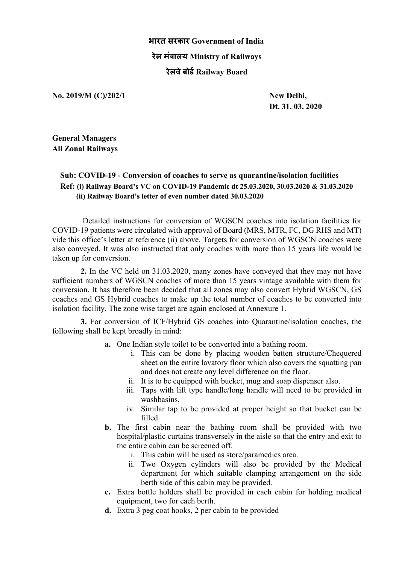## **भारत सरकार Government of India रेल मं+ालय Ministry of Railways रेलवेबोड1Railway Board**

**No. 2019/M (C)/202/1 New Delhi,**

**Dt. 31. 03. 2020**

**General Managers All Zonal Railways**

## **Sub: COVID-19 - Conversion of coaches to serve as quarantine/isolation facilities Ref: (i) Railway Board's VC on COVID-19 Pandemic dt 25.03.2020, 30.03.2020 & 31.03.2020 (ii) Railway Board's letter of even number dated 30.03.2020**

Detailed instructions for conversion of WGSCN coaches into isolation facilities for COVID-19 patients were circulated with approval of Board (MRS, MTR, FC, DG RHS and MT) vide this office's letter at reference (ii) above. Targets for conversion of WGSCN coaches were also conveyed. It was also instructed that only coaches with more than 15 years life would be taken up for conversion.

**2.** In the VC held on 31.03.2020, many zones have conveyed that they may not have sufficient numbers of WGSCN coaches of more than 15 years vintage available with them for conversion. It has therefore been decided that all zones may also convert Hybrid WGSCN, GS coaches and GS Hybrid coaches to make up the total number of coaches to be converted into isolation facility. The zone wise target are again enclosed at Annexure 1.

**3.** For conversion of ICF/Hybrid GS coaches into Quarantine/isolation coaches, the following shall be kept broadly in mind:

- **a.** One Indian style toilet to be converted into a bathing room.
	- i. This can be done by placing wooden batten structure/Chequered sheet on the entire lavatory floor which also covers the squatting pan and does not create any level difference on the floor.
	- ii. It is to be equipped with bucket, mug and soap dispenser also.
	- iii. Taps with lift type handle/long handle will need to be provided in washbasins.
	- iv. Similar tap to be provided at proper height so that bucket can be filled.
- **b.** The first cabin near the bathing room shall be provided with two hospital/plastic curtains transversely in the aisle so that the entry and exit to the entire cabin can be screened off.
	- i. This cabin will be used as store/paramedics area.
	- ii. Two Oxygen cylinders will also be provided by the Medical department for which suitable clamping arrangement on the side berth side of this cabin may be provided.
- **c.** Extra bottle holders shall be provided in each cabin for holding medical equipment, two for each berth.
- **d.** Extra 3 peg coat hooks, 2 per cabin to be provided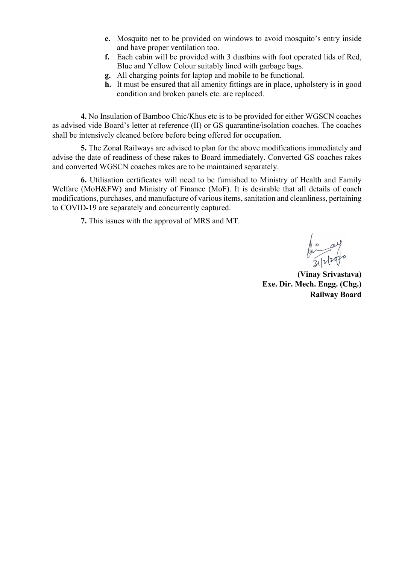- **e.** Mosquito net to be provided on windows to avoid mosquito's entry inside and have proper ventilation too.
- **f.** Each cabin will be provided with 3 dustbins with foot operated lids of Red, Blue and Yellow Colour suitably lined with garbage bags.
- **g.** All charging points for laptop and mobile to be functional.
- **h.** It must be ensured that all amenity fittings are in place, upholstery is in good condition and broken panels etc. are replaced.

**4.** No Insulation of Bamboo Chic/Khus etc is to be provided for either WGSCN coaches as advised vide Board's letter at reference (II) or GS quarantine/isolation coaches. The coaches shall be intensively cleaned before before being offered for occupation.

**5.** The Zonal Railways are advised to plan for the above modifications immediately and advise the date of readiness of these rakes to Board immediately. Converted GS coaches rakes and converted WGSCN coaches rakes are to be maintained separately.

**6.** Utilisation certificates will need to be furnished to Ministry of Health and Family Welfare (MoH&FW) and Ministry of Finance (MoF). It is desirable that all details of coach modifications, purchases, and manufacture of variousitems, sanitation and cleanliness, pertaining to COVID-19 are separately and concurrently captured.

**7.** This issues with the approval of MRS and MT.

**(Vinay Srivastava) Exe. Dir. Mech. Engg. (Chg.) Railway Board**